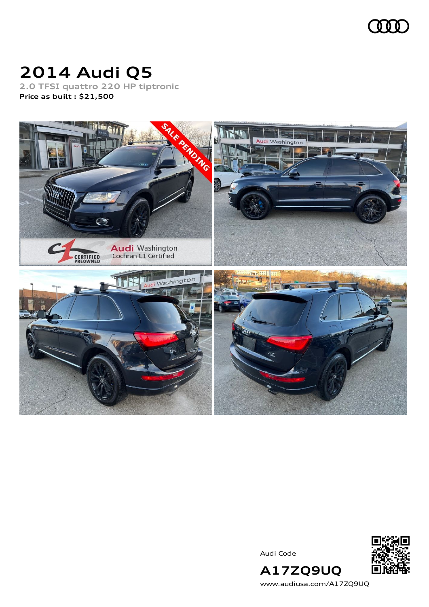

# **2014 Audi Q5**

**2.0 TFSI quattro 220 HP tiptronic Price as built [:](#page-10-0) \$21,500**



Audi Code



**A17ZQ9UQ** [www.audiusa.com/A17ZQ9UQ](https://www.audiusa.com/A17ZQ9UQ)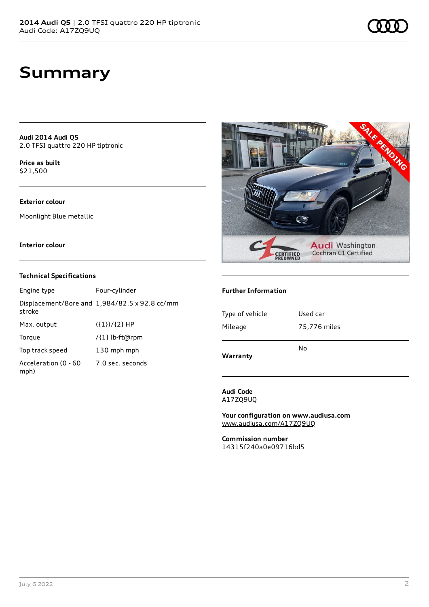**Audi 2014 Audi Q5** 2.0 TFSI quattro 220 HP tiptronic

**Price as buil[t](#page-10-0)** \$21,500

## **Exterior colour**

Moonlight Blue metallic

#### **Interior colour**

### **Technical Specifications**

| Engine type                  | Four-cylinder                                 |
|------------------------------|-----------------------------------------------|
| stroke                       | Displacement/Bore and 1,984/82.5 x 92.8 cc/mm |
| Max. output                  | $({1})/{2}$ HP                                |
| Torque                       | /{1} lb-ft@rpm                                |
| Top track speed              | 130 mph mph                                   |
| Acceleration (0 - 60<br>mph) | 7.0 sec. seconds                              |



#### **Further Information**

| Warranty        |              |
|-----------------|--------------|
|                 | No           |
| Mileage         | 75,776 miles |
| Type of vehicle | Used car     |
|                 |              |

**Audi Code** A17ZQ9UQ

**Your configuration on www.audiusa.com** [www.audiusa.com/A17ZQ9UQ](https://www.audiusa.com/A17ZQ9UQ)

**Commission number** 14315f240a0e09716bd5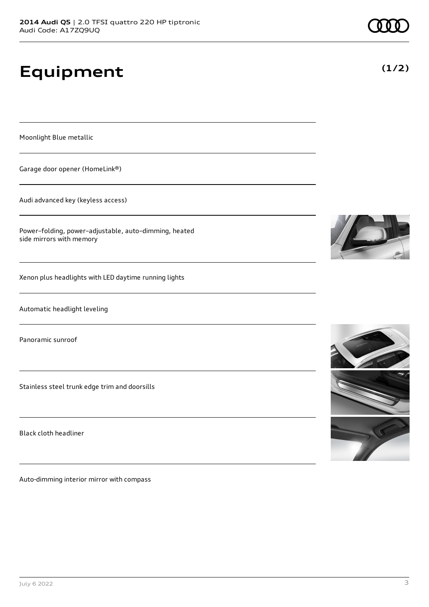# **Equipment**

Moonlight Blue metallic

Garage door opener (HomeLink®)

Audi advanced key (keyless access)

Power–folding, power–adjustable, auto–dimming, heated side mirrors with memory

Xenon plus headlights with LED daytime running lights

Automatic headlight leveling

Panoramic sunroof

Stainless steel trunk edge trim and doorsills

Black cloth headliner

Auto-dimming interior mirror with compass





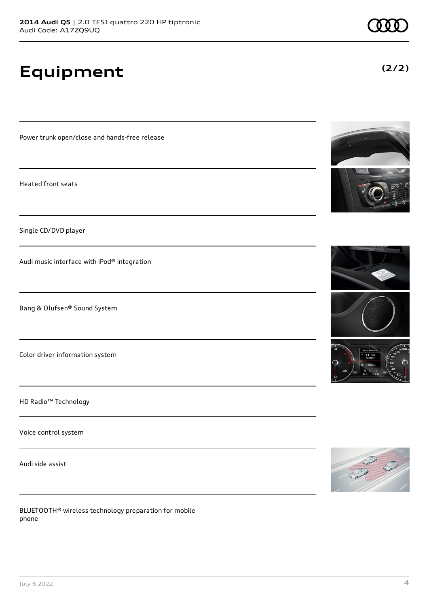# **Equipment**

Power trunk open/close and hands-free release

Heated front seats

Single CD/DVD player

Audi music interface with iPod® integration

Bang & Olufsen® Sound System

Color driver information system

HD Radio™ Technology

Voice control system

Audi side assist

BLUETOOTH® wireless technology preparation for mobile phone











**(2/2)**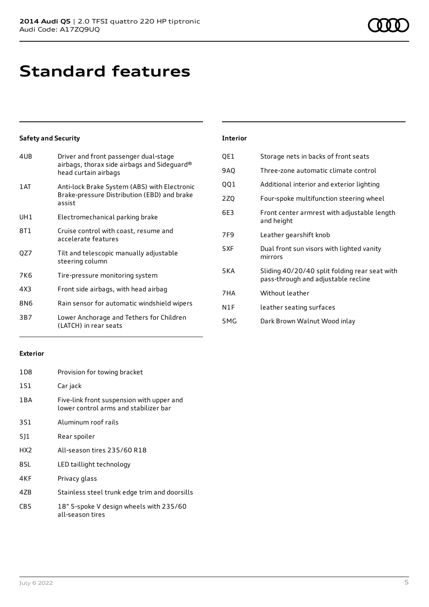# **Standard features**

## **Safety and Security**

| 4UB | Driver and front passenger dual-stage<br>airbags, thorax side airbags and Sideguard®<br>head curtain airbags |
|-----|--------------------------------------------------------------------------------------------------------------|
| 1AT | Anti-lock Brake System (ABS) with Electronic<br>Brake-pressure Distribution (EBD) and brake<br>assist        |
| UH1 | Electromechanical parking brake                                                                              |
| 8T1 | Cruise control with coast, resume and<br>accelerate features                                                 |
| QZ7 | Tilt and telescopic manually adjustable<br>steering column                                                   |
| 7K6 | Tire-pressure monitoring system                                                                              |
| 4X3 | Front side airbags, with head airbag                                                                         |
| 8N6 | Rain sensor for automatic windshield wipers                                                                  |
| 3B7 | Lower Anchorage and Tethers for Children<br>(LATCH) in rear seats                                            |

### **Exterior**

| 1D <sub>8</sub> | Provision for towing bracket                                                       |
|-----------------|------------------------------------------------------------------------------------|
| 151             | Car jack                                                                           |
| 1 B A           | Five-link front suspension with upper and<br>lower control arms and stabilizer bar |
| 3S1             | Aluminum roof rails                                                                |
| 5]1             | Rear spoiler                                                                       |
| HX2             | All-season tires 235/60 R18                                                        |
| 8SL             | LED taillight technology                                                           |
| 4KF             | Privacy glass                                                                      |
| 4ZB             | Stainless steel trunk edge trim and doorsills                                      |
| CDE             | 19" E-spoke V design whools with 235/60                                            |

CB5 18" 5-spoke V design wheels with 235/60 all-season tires

#### **Interior**

| QE1 | Storage nets in backs of front seats                                                 |
|-----|--------------------------------------------------------------------------------------|
| 9AQ | Three-zone automatic climate control                                                 |
| 001 | Additional interior and exterior lighting                                            |
| 2ZQ | Four-spoke multifunction steering wheel                                              |
| 6E3 | Front center armrest with adjustable length<br>and height                            |
| 7F9 | Leather gearshift knob                                                               |
| 5XF | Dual front sun visors with lighted vanity<br>mirrors                                 |
| 5KA | Sliding 40/20/40 split folding rear seat with<br>pass-through and adjustable recline |
| 7HA | Without leather                                                                      |
| N1F | leather seating surfaces                                                             |
| 5MG | Dark Brown Walnut Wood inlay                                                         |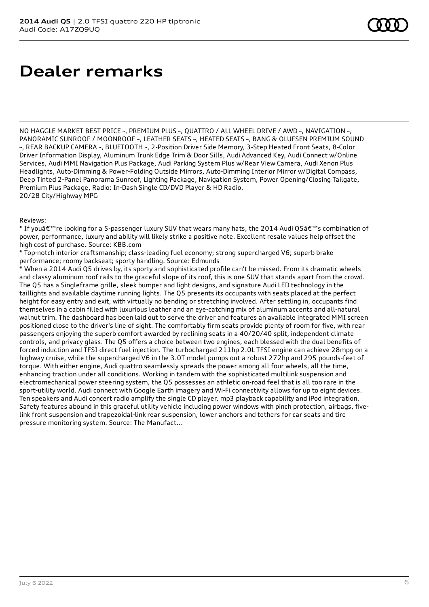# **Dealer remarks**

NO HAGGLE MARKET BEST PRICE ~, PREMIUM PLUS ~, QUATTRO / ALL WHEEL DRIVE / AWD ~, NAVIGATION ~, PANORAMIC SUNROOF / MOONROOF ~, LEATHER SEATS ~, HEATED SEATS ~, BANG & OLUFSEN PREMIUM SOUND ~, REAR BACKUP CAMERA ~, BLUETOOTH ~, 2-Position Driver Side Memory, 3-Step Heated Front Seats, 8-Color Driver Information Display, Aluminum Trunk Edge Trim & Door Sills, Audi Advanced Key, Audi Connect w/Online Services, Audi MMI Navigation Plus Package, Audi Parking System Plus w/Rear View Camera, Audi Xenon Plus Headlights, Auto-Dimming & Power-Folding Outside Mirrors, Auto-Dimming Interior Mirror w/Digital Compass, Deep Tinted 2-Panel Panorama Sunroof, Lighting Package, Navigation System, Power Opening/Closing Tailgate, Premium Plus Package, Radio: In-Dash Single CD/DVD Player & HD Radio. 20/28 City/Highway MPG

#### Reviews:

\* If you're looking for a 5-passenger luxury SUV that wears many hats, the 2014 Audi Q5's combination of power, performance, luxury and ability will likely strike a positive note. Excellent resale values help offset the high cost of purchase. Source: KBB.com

\* Top-notch interior craftsmanship; class-leading fuel economy; strong supercharged V6; superb brake performance; roomy backseat; sporty handling. Source: Edmunds

\* When a 2014 Audi Q5 drives by, its sporty and sophisticated profile can't be missed. From its dramatic wheels and classy aluminum roof rails to the graceful slope of its roof, this is one SUV that stands apart from the crowd. The Q5 has a Singleframe grille, sleek bumper and light designs, and signature Audi LED technology in the taillights and available daytime running lights. The Q5 presents its occupants with seats placed at the perfect height for easy entry and exit, with virtually no bending or stretching involved. After settling in, occupants find themselves in a cabin filled with luxurious leather and an eye-catching mix of aluminum accents and all-natural walnut trim. The dashboard has been laid out to serve the driver and features an available integrated MMI screen positioned close to the driver's line of sight. The comfortably firm seats provide plenty of room for five, with rear passengers enjoying the superb comfort awarded by reclining seats in a 40/20/40 split, independent climate controls, and privacy glass. The Q5 offers a choice between two engines, each blessed with the dual benefits of forced induction and TFSI direct fuel injection. The turbocharged 211hp 2.0L TFSI engine can achieve 28mpg on a highway cruise, while the supercharged V6 in the 3.0T model pumps out a robust 272hp and 295 pounds-feet of torque. With either engine, Audi quattro seamlessly spreads the power among all four wheels, all the time, enhancing traction under all conditions. Working in tandem with the sophisticated multilink suspension and electromechanical power steering system, the Q5 possesses an athletic on-road feel that is all too rare in the sport-utility world. Audi connect with Google Earth imagery and Wi-Fi connectivity allows for up to eight devices. Ten speakers and Audi concert radio amplify the single CD player, mp3 playback capability and iPod integration. Safety features abound in this graceful utility vehicle including power windows with pinch protection, airbags, fivelink front suspension and trapezoidal-link rear suspension, lower anchors and tethers for car seats and tire pressure monitoring system. Source: The Manufact...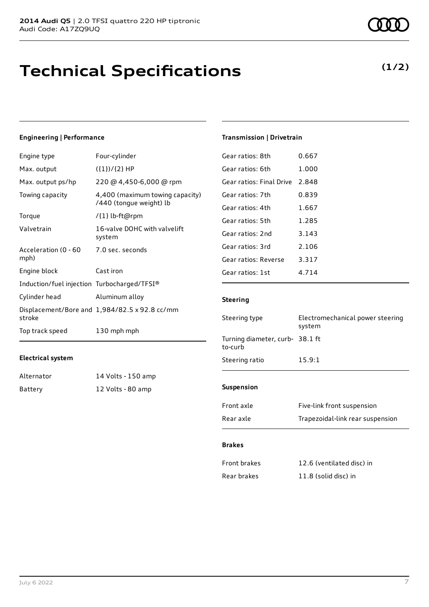# **Technical Specifications**

### **Engineering | Performance**

| Engine type                                 | Four-cylinder                                              |
|---------------------------------------------|------------------------------------------------------------|
| Max. output                                 | $({1})/{2}$ HP                                             |
| Max. output ps/hp                           | 220 @ 4,450-6,000 @ rpm                                    |
| Towing capacity                             | 4,400 (maximum towing capacity)<br>/440 (tongue weight) lb |
| Torque                                      | /{1} lb-ft@rpm                                             |
| Valvetrain                                  | 16-valve DOHC with valvelift<br>system                     |
| Acceleration (0 - 60<br>mph)                | 7.0 sec. seconds                                           |
| Engine block                                | Cast iron                                                  |
| Induction/fuel injection Turbocharged/TFSI® |                                                            |
| Cylinder head                               | Aluminum alloy                                             |
| stroke                                      | Displacement/Bore and 1,984/82.5 x 92.8 cc/mm              |
| Top track speed                             | 130 mph mph                                                |

#### **Electrical system**

| Alternator | 14 Volts - 150 amp |
|------------|--------------------|
| Battery    | 12 Volts - 80 amp  |

## **Transmission | Drivetrain**

| Gear ratios: 8th         | 0.667   |
|--------------------------|---------|
| Gear ratios: 6th         | 1.000   |
| Gear ratios: Final Drive | 2.848   |
| Gear ratios: 7th         | 0.839   |
| Gear ratios: 4th         | 1.667   |
| Gear ratios: 5th         | 1.285   |
| Gear ratios: 2nd         | 3.143   |
| Gear ratios: 3rd         | 2.106   |
| Gear ratios: Reverse     | 3.317   |
| Gear ratios: 1st         | 4 7 1 4 |
|                          |         |

### **Steering**

| Steering type                              | Electromechanical power steering<br>system |
|--------------------------------------------|--------------------------------------------|
| Turning diameter, curb- 38.1 ft<br>to-curb |                                            |
| Steering ratio                             | 15.9:1                                     |
|                                            |                                            |

## **Suspension**

| Front axle | Five-link front suspension       |
|------------|----------------------------------|
| Rear axle  | Trapezoidal-link rear suspension |

#### **Brakes**

| Front brakes | 12.6 (ventilated disc) in |
|--------------|---------------------------|
| Rear brakes  | 11.8 (solid disc) in      |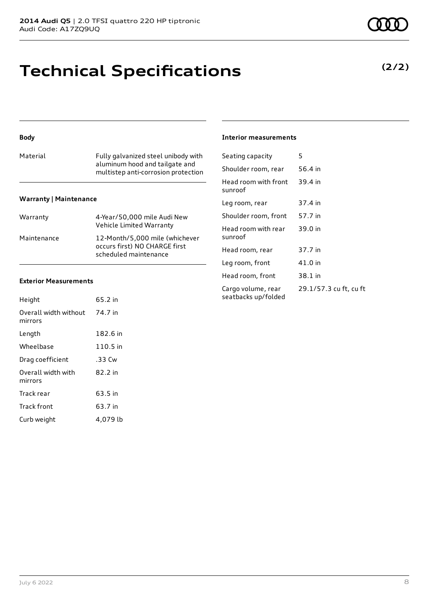# **Technical Specifications**

### **Body**

| Material | Fully galvanized steel unibody with<br>aluminum hood and tailgate and<br>multistep anti-corrosion protection |
|----------|--------------------------------------------------------------------------------------------------------------|
|          |                                                                                                              |

#### **Warranty | Maintenance**

| Warranty    | 4-Year/50,000 mile Audi New<br>Vehicle Limited Warranty                                  |
|-------------|------------------------------------------------------------------------------------------|
| Maintenance | 12-Month/5,000 mile (whichever<br>occurs first) NO CHARGE first<br>scheduled maintenance |

#### **Exterior Measurements**

| Height                           | 65.2 in  |
|----------------------------------|----------|
| Overall width without<br>mirrors | 74.7 in  |
| Length                           | 182.6 in |
| Wheelbase                        | 110.5 in |
| Drag coefficient                 | .33 Cw   |
| Overall width with<br>mirrors    | 82.2 in  |
| Track rear                       | 63.5 in  |
| Track front                      | 63.7 in  |
| Curb weight                      | 4.079 lb |

#### **Interior measurements**

| Seating capacity                          | 5                      |
|-------------------------------------------|------------------------|
| Shoulder room, rear                       | 56.4 in                |
| Head room with front<br>sunroof           | 39.4 in                |
| Leg room, rear                            | 37.4 in                |
| Shoulder room, front                      | 57.7 in                |
| Head room with rear<br>sunroof            | 39.0 in                |
| Head room, rear                           | 37.7 in                |
| Leg room, front                           | 41.0 in                |
| Head room, front                          | 38.1 in                |
| Cargo volume, rear<br>seatbacks up/folded | 29.1/57.3 cu ft, cu ft |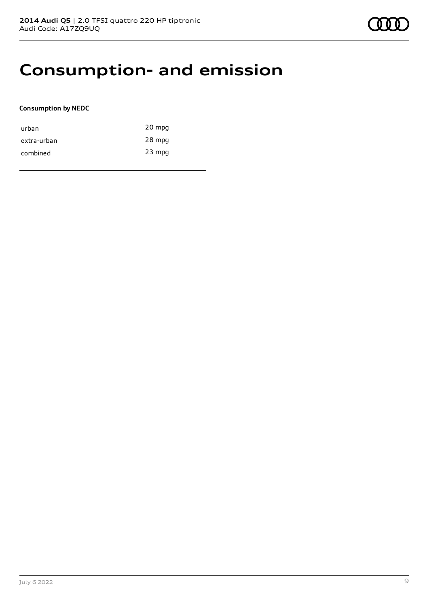# **Consumption- and emission**

### **Consumption by NEDC**

| urban       | 20 mpg   |
|-------------|----------|
| extra-urban | 28 mpg   |
| combined    | $23$ mpg |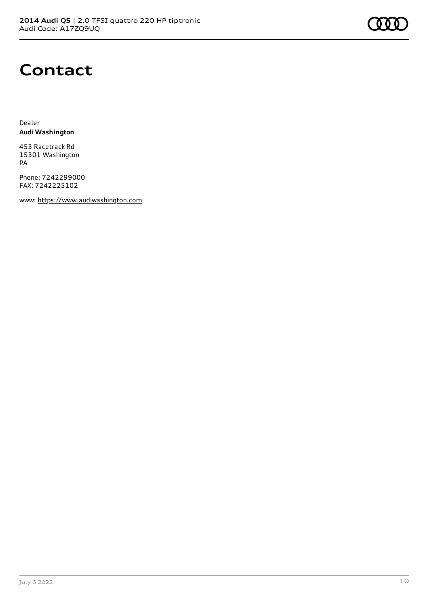

# **Contact**

Dealer **Audi Washington**

453 Racetrack Rd 15301 Washington PA

Phone: 7242299000 FAX: 7242225102

www: [https://www.audiwashington.com](https://www.audiwashington.com/)